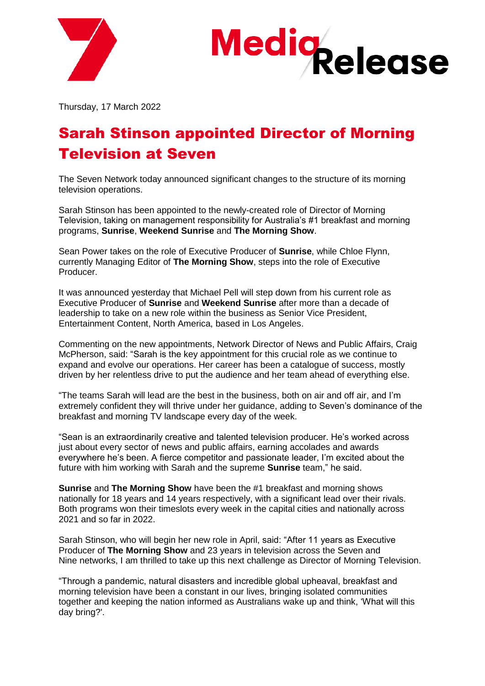



Thursday, 17 March 2022

## Sarah Stinson appointed Director of Morning Television at Seven

The Seven Network today announced significant changes to the structure of its morning television operations.

Sarah Stinson has been appointed to the newly-created role of Director of Morning Television, taking on management responsibility for Australia's #1 breakfast and morning programs, **Sunrise**, **Weekend Sunrise** and **The Morning Show**.

Sean Power takes on the role of Executive Producer of **Sunrise**, while Chloe Flynn, currently Managing Editor of **The Morning Show**, steps into the role of Executive Producer.

It was announced yesterday that Michael Pell will step down from his current role as Executive Producer of **Sunrise** and **Weekend Sunrise** after more than a decade of leadership to take on a new role within the business as Senior Vice President, Entertainment Content, North America, based in Los Angeles.

Commenting on the new appointments, Network Director of News and Public Affairs, Craig McPherson, said: "Sarah is the key appointment for this crucial role as we continue to expand and evolve our operations. Her career has been a catalogue of success, mostly driven by her relentless drive to put the audience and her team ahead of everything else.

"The teams Sarah will lead are the best in the business, both on air and off air, and I'm extremely confident they will thrive under her guidance, adding to Seven's dominance of the breakfast and morning TV landscape every day of the week.

"Sean is an extraordinarily creative and talented television producer. He's worked across just about every sector of news and public affairs, earning accolades and awards everywhere he's been. A fierce competitor and passionate leader, I'm excited about the future with him working with Sarah and the supreme **Sunrise** team," he said.

**Sunrise** and **The Morning Show** have been the #1 breakfast and morning shows nationally for 18 years and 14 years respectively, with a significant lead over their rivals. Both programs won their timeslots every week in the capital cities and nationally across 2021 and so far in 2022.

Sarah Stinson, who will begin her new role in April, said: "After 11 years as Executive Producer of **The Morning Show** and 23 years in television across the Seven and Nine networks, I am thrilled to take up this next challenge as Director of Morning Television.

"Through a pandemic, natural disasters and incredible global upheaval, breakfast and morning television have been a constant in our lives, bringing isolated communities together and keeping the nation informed as Australians wake up and think, 'What will this day bring?'.